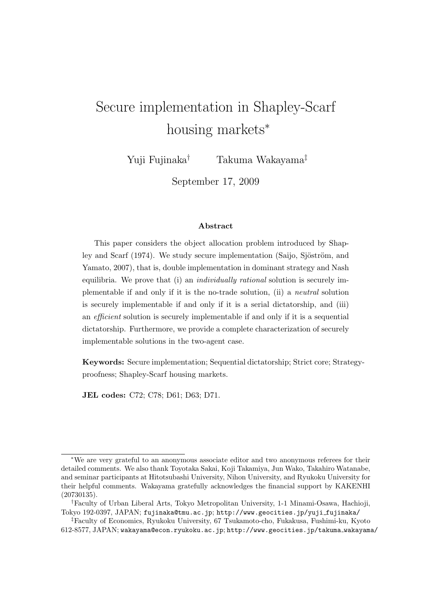# Secure implementation in Shapley-Scarf housing markets*<sup>∗</sup>*

Yuji Fujinaka*†* Takuma Wakayama*‡*

September 17, 2009

#### **Abstract**

This paper considers the object allocation problem introduced by Shapley and Scarf (1974). We study secure implementation (Saijo, Sjöström, and Yamato, 2007), that is, double implementation in dominant strategy and Nash equilibria. We prove that (i) an *individually rational* solution is securely implementable if and only if it is the no-trade solution, (ii) a *neutral* solution is securely implementable if and only if it is a serial dictatorship, and (iii) an *efficient* solution is securely implementable if and only if it is a sequential dictatorship. Furthermore, we provide a complete characterization of securely implementable solutions in the two-agent case.

**Keywords:** Secure implementation; Sequential dictatorship; Strict core; Strategyproofness; Shapley-Scarf housing markets.

**JEL codes:** C72; C78; D61; D63; D71.

*<sup>∗</sup>*We are very grateful to an anonymous associate editor and two anonymous referees for their detailed comments. We also thank Toyotaka Sakai, Koji Takamiya, Jun Wako, Takahiro Watanabe, and seminar participants at Hitotsubashi University, Nihon University, and Ryukoku University for their helpful comments. Wakayama gratefully acknowledges the financial support by KAKENHI (20730135).

*<sup>†</sup>*Faculty of Urban Liberal Arts, Tokyo Metropolitan University, 1-1 Minami-Osawa, Hachioji, Tokyo 192-0397, JAPAN; fujinaka@tmu.ac.jp; http://www.geocities.jp/yuji fujinaka/

*<sup>‡</sup>*Faculty of Economics, Ryukoku University, 67 Tsukamoto-cho, Fukakusa, Fushimi-ku, Kyoto 612-8577, JAPAN; wakayama@econ.ryukoku.ac.jp; http://www.geocities.jp/takuma wakayama/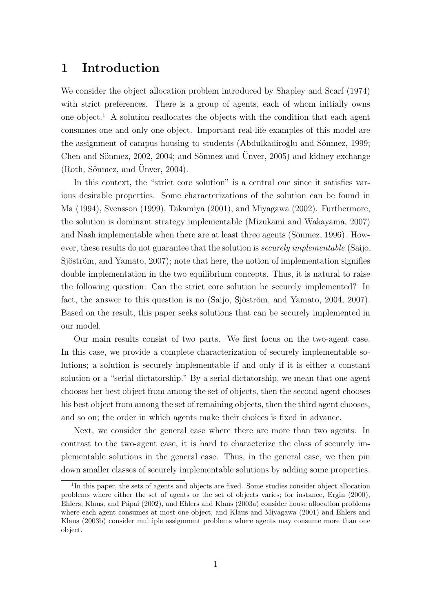# **1 Introduction**

We consider the object allocation problem introduced by Shapley and Scarf (1974) with strict preferences. There is a group of agents, each of whom initially owns one object.<sup>1</sup> A solution reallocates the objects with the condition that each agent consumes one and only one object. Important real-life examples of this model are the assignment of campus housing to students (Abdulkadiroğlu and Sönmez, 1999; Chen and Sönmez, 2002, 2004; and Sönmez and Ünver, 2005) and kidney exchange  $(Roth, Sönmez, and Unver, 2004).$ 

In this context, the "strict core solution" is a central one since it satisfies various desirable properties. Some characterizations of the solution can be found in Ma (1994), Svensson (1999), Takamiya (2001), and Miyagawa (2002). Furthermore, the solution is dominant strategy implementable (Mizukami and Wakayama, 2007) and Nash implementable when there are at least three agents (Sönmez,  $1996$ ). However, these results do not guarantee that the solution is *securely implementable* (Saijo, Sjöström, and Yamato, 2007); note that here, the notion of implementation signifies double implementation in the two equilibrium concepts. Thus, it is natural to raise the following question: Can the strict core solution be securely implemented? In fact, the answer to this question is no (Saijo, Sjöström, and Yamato, 2004, 2007). Based on the result, this paper seeks solutions that can be securely implemented in our model.

Our main results consist of two parts. We first focus on the two-agent case. In this case, we provide a complete characterization of securely implementable solutions; a solution is securely implementable if and only if it is either a constant solution or a "serial dictatorship." By a serial dictatorship, we mean that one agent chooses her best object from among the set of objects, then the second agent chooses his best object from among the set of remaining objects, then the third agent chooses, and so on; the order in which agents make their choices is fixed in advance.

Next, we consider the general case where there are more than two agents. In contrast to the two-agent case, it is hard to characterize the class of securely implementable solutions in the general case. Thus, in the general case, we then pin down smaller classes of securely implementable solutions by adding some properties.

<sup>&</sup>lt;sup>1</sup>In this paper, the sets of agents and objects are fixed. Some studies consider object allocation problems where either the set of agents or the set of objects varies; for instance, Ergin (2000), Ehlers, Klaus, and Pápai (2002), and Ehlers and Klaus (2003a) consider house allocation problems where each agent consumes at most one object, and Klaus and Miyagawa (2001) and Ehlers and Klaus (2003b) consider multiple assignment problems where agents may consume more than one object.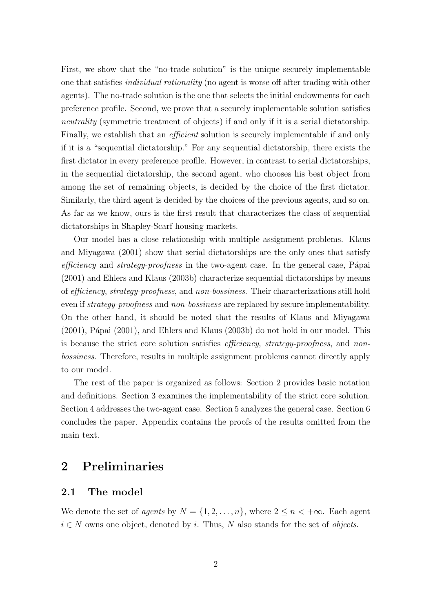First, we show that the "no-trade solution" is the unique securely implementable one that satisfies *individual rationality* (no agent is worse off after trading with other agents). The no-trade solution is the one that selects the initial endowments for each preference profile. Second, we prove that a securely implementable solution satisfies *neutrality* (symmetric treatment of objects) if and only if it is a serial dictatorship. Finally, we establish that an *efficient* solution is securely implementable if and only if it is a "sequential dictatorship." For any sequential dictatorship, there exists the first dictator in every preference profile. However, in contrast to serial dictatorships, in the sequential dictatorship, the second agent, who chooses his best object from among the set of remaining objects, is decided by the choice of the first dictator. Similarly, the third agent is decided by the choices of the previous agents, and so on. As far as we know, ours is the first result that characterizes the class of sequential dictatorships in Shapley-Scarf housing markets.

Our model has a close relationship with multiple assignment problems. Klaus and Miyagawa (2001) show that serial dictatorships are the only ones that satisfy *efficiency* and *strategy-proofness* in the two-agent case. In the general case, Pápai (2001) and Ehlers and Klaus (2003b) characterize sequential dictatorships by means of *efficiency*, *strategy-proofness*, and *non-bossiness*. Their characterizations still hold even if *strategy-proofness* and *non-bossiness* are replaced by secure implementability. On the other hand, it should be noted that the results of Klaus and Miyagawa  $(2001)$ , Pápai  $(2001)$ , and Ehlers and Klaus  $(2003b)$  do not hold in our model. This is because the strict core solution satisfies *efficiency*, *strategy-proofness*, and *nonbossiness*. Therefore, results in multiple assignment problems cannot directly apply to our model.

The rest of the paper is organized as follows: Section 2 provides basic notation and definitions. Section 3 examines the implementability of the strict core solution. Section 4 addresses the two-agent case. Section 5 analyzes the general case. Section 6 concludes the paper. Appendix contains the proofs of the results omitted from the main text.

# **2 Preliminaries**

### **2.1 The model**

We denote the set of *agents* by  $N = \{1, 2, \ldots, n\}$ , where  $2 \leq n < +\infty$ . Each agent *i ∈ N* owns one object, denoted by *i*. Thus, *N* also stands for the set of *objects*.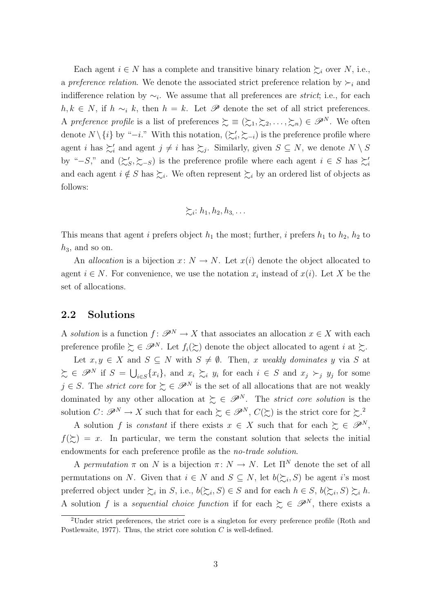Each agent  $i \in N$  has a complete and transitive binary relation  $\succsim_i$  over *N*, i.e., a *preference relation*. We denote the associated strict preference relation by  $\succ_i$  and indifference relation by *∼<sup>i</sup>* . We assume that all preferences are *strict*; i.e., for each *h, k* ∈ *N*, if *h*  $\sim$ <sub>*i*</sub> *k*, then *h* = *k*. Let  $\mathscr P$  denote the set of all strict preferences. A preference profile is a list of preferences  $\succeq \equiv (\succeq_1, \succeq_2, \ldots, \succeq_n) \in \mathscr{P}^N$ . We often denote  $N \setminus \{i\}$  by "*−i*." With this notation,  $(\succsim'_i, \succsim_{-i})$  is the preference profile where agent *i* has  $\succeq'_{i}$  and agent  $j \neq i$  has  $\succeq_{j}$ . Similarly, given  $S \subseteq N$ , we denote  $N \setminus S$ by " $-S$ ," and  $(\succeq_S', \succeq_{-S})$  is the preference profile where each agent  $i \in S$  has  $\succeq'_i$ and each agent  $i \notin S$  has  $\succsim_i$ . We often represent  $\succsim_i$  by an ordered list of objects as follows:

$$
\succsim_i: h_1, h_2, h_3, \ldots
$$

This means that agent *i* prefers object  $h_1$  the most; further, *i* prefers  $h_1$  to  $h_2$ ,  $h_2$  to  $h_3$ , and so on.

An *allocation* is a bijection  $x: N \to N$ . Let  $x(i)$  denote the object allocated to agent  $i \in N$ . For convenience, we use the notation  $x_i$  instead of  $x(i)$ . Let X be the set of allocations.

#### **2.2 Solutions**

A *solution* is a function  $f: \mathscr{P}^N \to X$  that associates an allocation  $x \in X$  with each preference profile  $\succsim \in \mathscr{P}^N$ . Let  $f_i(\succsim)$  denote the object allocated to agent *i* at  $\succsim$ .

Let  $x, y \in X$  and  $S \subseteq N$  with  $S \neq \emptyset$ . Then, *x* weakly dominates *y* via *S* at  $\xi \in \mathscr{P}^N$  if  $S = \bigcup_{i \in S} \{x_i\}$ , and  $x_i \succsim_i y_i$  for each  $i \in S$  and  $x_j \succ_j y_j$  for some  $j \in S$ . The *strict core* for  $\succeq \in \mathscr{P}^N$  is the set of all allocations that are not weakly dominated by any other allocation at  $\sum \in \mathscr{P}^N$ . The *strict core solution* is the solution  $C \colon \mathscr{P}^N \to X$  such that for each  $\succsim \in \mathscr{P}^N$ ,  $C(\succsim)$  is the strict core for  $\succsim^2$ .

A solution *f* is *constant* if there exists  $x \in X$  such that for each  $\geq \in \mathscr{P}^N$ ,  $f(\succsim) = x$ . In particular, we term the constant solution that selects the initial endowments for each preference profile as the *no-trade solution*.

A *permutation*  $\pi$  on *N* is a bijection  $\pi: N \to N$ . Let  $\Pi^N$  denote the set of all permutations on *N*. Given that  $i \in N$  and  $S \subseteq N$ , let  $b(\succeq_i, S)$  be agent *i*'s most preferred object under  $\succsim_i$  in *S*, i.e.,  $b(\succeq_i, S) \in S$  and for each  $h \in S$ ,  $b(\succeq_i, S) \succeq_i h$ . A solution *f* is a *sequential choice function* if for each  $\succsim \in \mathscr{P}^N$ , there exists a

<sup>&</sup>lt;sup>2</sup>Under strict preferences, the strict core is a singleton for every preference profile (Roth and Postlewaite, 1977). Thus, the strict core solution *C* is well-defined.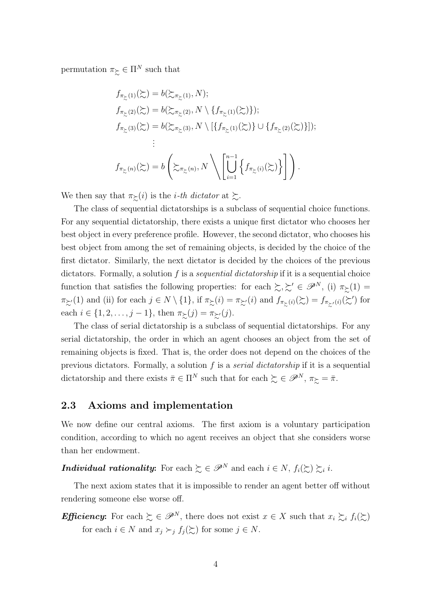permutation  $\pi_{\succ} \in \Pi^N$  such that

$$
f_{\pi_{\Sigma}(1)}(\Sigma) = b(\Sigma_{\pi_{\Sigma}(1)}, N);
$$
  
\n
$$
f_{\pi_{\Sigma}(2)}(\Sigma) = b(\Sigma_{\pi_{\Sigma}(2)}, N \setminus \{f_{\pi_{\Sigma}(1)}(\Sigma)\});
$$
  
\n
$$
f_{\pi_{\Sigma}(3)}(\Sigma) = b(\Sigma_{\pi_{\Sigma}(3)}, N \setminus [\{f_{\pi_{\Sigma}(1)}(\Sigma)\} \cup \{f_{\pi_{\Sigma}(2)}(\Sigma)\}]);
$$
  
\n
$$
\vdots
$$
  
\n
$$
f_{\pi_{\Sigma}(n)}(\Sigma) = b\left(\Sigma_{\pi_{\Sigma}(n)}, N \setminus \left[\bigcup_{i=1}^{n-1} \{f_{\pi_{\Sigma}(i)}(\Sigma)\}\right]\right).
$$

We then say that  $\pi_{\succeq}(i)$  is the *i*-th dictator at  $\succeq$ .

The class of sequential dictatorships is a subclass of sequential choice functions. For any sequential dictatorship, there exists a unique first dictator who chooses her best object in every preference profile. However, the second dictator, who chooses his best object from among the set of remaining objects, is decided by the choice of the first dictator. Similarly, the next dictator is decided by the choices of the previous dictators. Formally, a solution *f* is a *sequential dictatorship* if it is a sequential choice function that satisfies the following properties: for each  $\succsim, \succsim' \in \mathscr{P}^N$ , (i)  $\pi_{\succsim}(1)$  $\pi_{\succeq'}(1)$  and (ii) for each  $j \in N \setminus \{1\}$ , if  $\pi_{\succeq}(i) = \pi_{\succeq'}(i)$  and  $f_{\pi_{\succeq}(i)}(\succeq) = f_{\pi_{\succeq'}(i)}(\succeq')$  for each  $i \in \{1, 2, \ldots, j-1\}$ , then  $\pi_{\geq}(j) = \pi_{\geq'}(j)$ .

The class of serial dictatorship is a subclass of sequential dictatorships. For any serial dictatorship, the order in which an agent chooses an object from the set of remaining objects is fixed. That is, the order does not depend on the choices of the previous dictators. Formally, a solution *f* is a *serial dictatorship* if it is a sequential dictatorship and there exists  $\bar{\pi} \in \Pi^N$  such that for each  $\succsim \in \mathscr{P}^N$ ,  $\pi_{\succsim} = \bar{\pi}$ .

### **2.3 Axioms and implementation**

We now define our central axioms. The first axiom is a voluntary participation condition, according to which no agent receives an object that she considers worse than her endowment.

*Individual rationality*: For each  $\sum \in \mathscr{P}^N$  and each  $i \in N$ ,  $f_i(\sum \sum \sum_i i$ .

The next axiom states that it is impossible to render an agent better off without rendering someone else worse off.

*Efficiency*: For each  $\geq \in \mathscr{P}^N$ , there does not exist  $x \in X$  such that  $x_i \geq_i f_i(\geq)$ for each  $i \in N$  and  $x_j \succ_j f_j(\succsim)$  for some  $j \in N$ .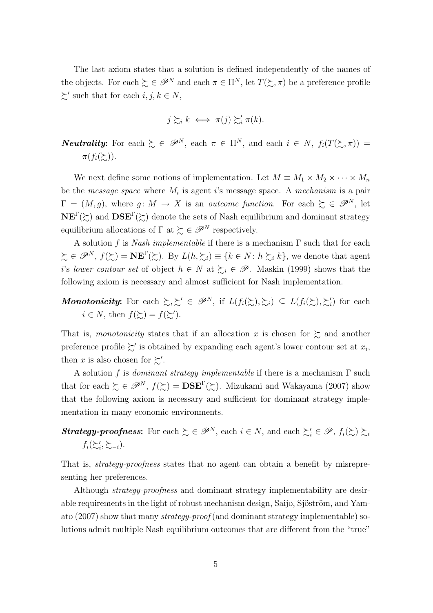The last axiom states that a solution is defined independently of the names of the objects. For each  $\succeq \in \mathscr{P}^N$  and each  $\pi \in \Pi^N$ , let  $T(\succeq, \pi)$  be a preference profile  $\succsim'$  such that for each  $i, j, k \in N$ ,

$$
j \succsim_i k \iff \pi(j) \succsim'_i \pi(k).
$$

*Neutrality*: For each  $\sum \in \mathscr{P}^N$ , each  $\pi \in \Pi^N$ , and each  $i \in N$ ,  $f_i(T(\sum \pi))$  $\pi(f_i(\succcurlyeq))$ .

We next define some notions of implementation. Let  $M \equiv M_1 \times M_2 \times \cdots \times M_n$ be the *message space* where *M<sup>i</sup>* is agent *i*'s message space. A *mechanism* is a pair  $\Gamma = (M, g)$ , where  $g: M \to X$  is an *outcome function*. For each  $\succeq \in \mathscr{P}^N$ , let **NE<sup>Γ</sup>(** $\succsim$ ) and **DSE<sup>Γ</sup>(** $\succsim$ ) denote the sets of Nash equilibrium and dominant strategy equilibrium allocations of  $\Gamma$  at  $\succeq \in \mathscr{P}^N$  respectively.

A solution *f* is *Nash implementable* if there is a mechanism Γ such that for each  $\xi \in \mathscr{P}^N$ ,  $f(\xi) = \mathbf{NE}^{\Gamma}(\xi)$ . By  $L(h, \xi_i) \equiv \{k \in N : h \xi_i, k\}$ , we denote that agent *i*'s *lower contour set* of object  $h \in N$  at  $\succeq_i \in \mathscr{P}$ . Maskin (1999) shows that the following axiom is necessary and almost sufficient for Nash implementation.

*Monotonicity*: For each  $\sum_i \sum' \in \mathscr{P}^N$ , if  $L(f_i(\sum_i), \sum_i) \subseteq L(f_i(\sum_i), \sum'_i)$  for each  $i \in N$ , then  $f(\succsim) = f(\succsim')$ .

That is, *monotonicity* states that if an allocation x is chosen for  $\gtrsim$  and another preference profile  $\succsim'$  is obtained by expanding each agent's lower contour set at  $x_i$ , then *x* is also chosen for  $\succsim'$ .

A solution *f* is *dominant strategy implementable* if there is a mechanism Γ such that for each  $\zeta \in \mathscr{P}^N$ ,  $f(\zeta) = \mathbf{DSE}(\zeta)$ . Mizukami and Wakayama (2007) show that the following axiom is necessary and sufficient for dominant strategy implementation in many economic environments.

# *Strategy-proofness*: For each  $\succsim \in \mathscr{P}^N$ , each  $i \in N$ , and each  $\succsim_i' \in \mathscr{P}$ ,  $f_i(\succsim_i) \succsim_i i$  $f_i(\succsim_i', \succsim_{-i}).$

That is, *strategy-proofness* states that no agent can obtain a benefit by misrepresenting her preferences.

Although *strategy-proofness* and dominant strategy implementability are desirable requirements in the light of robust mechanism design, Saijo, Sjöström, and Yamato (2007) show that many *strategy-proof* (and dominant strategy implementable) solutions admit multiple Nash equilibrium outcomes that are different from the "true"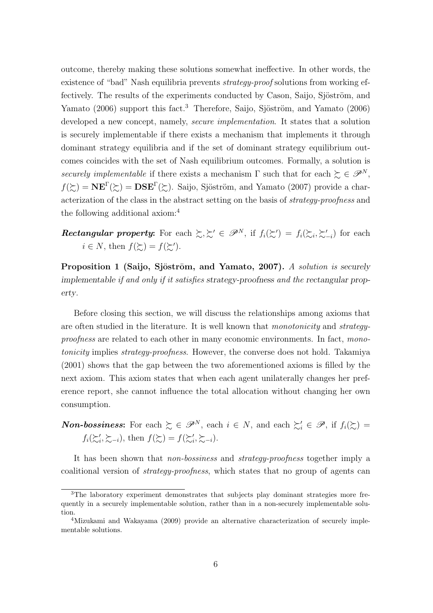outcome, thereby making these solutions somewhat ineffective. In other words, the existence of "bad" Nash equilibria prevents *strategy-proof* solutions from working effectively. The results of the experiments conducted by Cason, Saijo, Sjöström, and Yamato (2006) support this fact.<sup>3</sup> Therefore, Saijo, Sjöström, and Yamato (2006) developed a new concept, namely, *secure implementation*. It states that a solution is securely implementable if there exists a mechanism that implements it through dominant strategy equilibria and if the set of dominant strategy equilibrium outcomes coincides with the set of Nash equilibrium outcomes. Formally, a solution is *securely implementable* if there exists a mechanism  $\Gamma$  such that for each  $\succeq \in \mathscr{P}^N$ ,  $f(\succsim) = \mathbf{NE}^{\Gamma}(\succsim) = \mathbf{DSE}^{\Gamma}(\succsim)$ . Saijo, Sjöström, and Yamato (2007) provide a characterization of the class in the abstract setting on the basis of *strategy-proofness* and the following additional axiom:<sup>4</sup>

*Rectangular property*: For each  $\sum \zeta' \in \mathscr{P}^N$ , if  $f_i(\zeta') = f_i(\zeta_i, \zeta'_{-i})$  for each  $i \in N$ , then  $f(\succsim) = f(\succsim')$ .

**Proposition 1 (Saijo, Sjöström, and Yamato, 2007).** A solution is securely *implementable if and only if it satisfies strategy-proofness and the rectangular property.*

Before closing this section, we will discuss the relationships among axioms that are often studied in the literature. It is well known that *monotonicity* and *strategyproofness* are related to each other in many economic environments. In fact, *monotonicity* implies *strategy-proofness*. However, the converse does not hold. Takamiya (2001) shows that the gap between the two aforementioned axioms is filled by the next axiom. This axiom states that when each agent unilaterally changes her preference report, she cannot influence the total allocation without changing her own consumption.

*Non-bossiness*: For each  $\succeq \in \mathscr{P}^N$ , each  $i \in N$ , and each  $\succeq'_i \in \mathscr{P}$ , if  $f_i(\succeq) =$  $f_i(\succsim_i', \succsim_{-i})$ , then  $f(\succsim_i') = f(\succsim_i', \succsim_{-i})$ .

It has been shown that *non-bossiness* and *strategy-proofness* together imply a coalitional version of *strategy-proofness*, which states that no group of agents can

<sup>&</sup>lt;sup>3</sup>The laboratory experiment demonstrates that subjects play dominant strategies more frequently in a securely implementable solution, rather than in a non-securely implementable solution.

<sup>4</sup>Mizukami and Wakayama (2009) provide an alternative characterization of securely implementable solutions.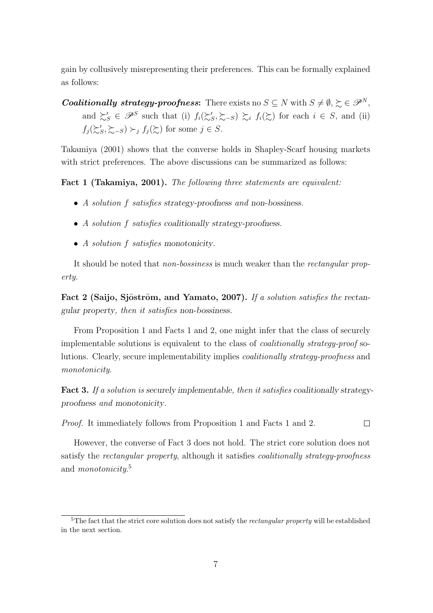gain by collusively misrepresenting their preferences. This can be formally explained as follows:

*Coalitionally strategy-proofness*: There exists no  $S \subseteq N$  with  $S \neq \emptyset$ ,  $\succsim \in \mathscr{P}^N$ , and  $\succsim'_{S} \in \mathscr{P}^{S}$  such that (i)  $f_i(\succeq'_{S}, \succeq_{-S}) \succeq_i f_i(\succeq)$  for each  $i \in S$ , and (ii)  $f_j(\succsim'_S, \succsim_{-S}) \succ_j f_j(\succsim)$  for some  $j \in S$ .

Takamiya (2001) shows that the converse holds in Shapley-Scarf housing markets with strict preferences. The above discussions can be summarized as follows:

**Fact 1 (Takamiya, 2001).** *The following three statements are equivalent:*

- *• A solution f satisfies strategy-proofness and non-bossiness.*
- *• A solution f satisfies coalitionally strategy-proofness.*
- *• A solution f satisfies monotonicity.*

It should be noted that *non-bossiness* is much weaker than the *rectangular property*.

**Fact 2 (Saijo, Sjöström, and Yamato, 2007).** If a solution satisfies the rectan*gular property, then it satisfies non-bossiness.*

From Proposition 1 and Facts 1 and 2, one might infer that the class of securely implementable solutions is equivalent to the class of *coalitionally strategy-proof* solutions. Clearly, secure implementability implies *coalitionally strategy-proofness* and *monotonicity*.

**Fact 3.** *If a solution is securely implementable, then it satisfies coalitionally strategyproofness and monotonicity.*

*Proof.* It immediately follows from Proposition 1 and Facts 1 and 2.

 $\Box$ 

However, the converse of Fact 3 does not hold. The strict core solution does not satisfy the *rectangular property*, although it satisfies *coalitionally strategy-proofness* and *monotonicity*. 5

<sup>5</sup>The fact that the strict core solution does not satisfy the *rectangular property* will be established in the next section.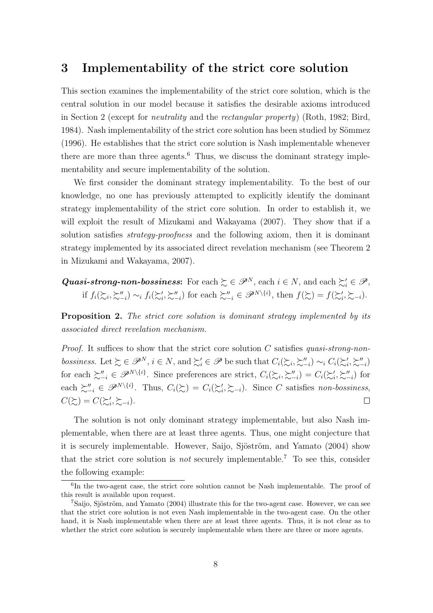### **3 Implementability of the strict core solution**

This section examines the implementability of the strict core solution, which is the central solution in our model because it satisfies the desirable axioms introduced in Section 2 (except for *neutrality* and the *rectangular property*) (Roth, 1982; Bird, 1984). Nash implementability of the strict core solution has been studied by Sömmez (1996). He establishes that the strict core solution is Nash implementable whenever there are more than three agents.<sup>6</sup> Thus, we discuss the dominant strategy implementability and secure implementability of the solution.

We first consider the dominant strategy implementability. To the best of our knowledge, no one has previously attempted to explicitly identify the dominant strategy implementability of the strict core solution. In order to establish it, we will exploit the result of Mizukami and Wakayama (2007). They show that if a solution satisfies *strategy-proofness* and the following axiom, then it is dominant strategy implemented by its associated direct revelation mechanism (see Theorem 2 in Mizukami and Wakayama, 2007).

*Quasi-strong-non-bossiness*: For each  $\succsim \in \mathscr{P}^N$ , each  $i \in N$ , and each  $\succsim_i' \in \mathscr{P}$ , if  $f_i(\mathcal{E}_i, \mathcal{E}_{-i}'') \sim_i f_i(\mathcal{E}'_i, \mathcal{E}_{-i}'')$  for each  $\mathcal{E}_{-i}'' \in \mathscr{P}^{N\setminus\{i\}},$  then  $f(\mathcal{E}) = f(\mathcal{E}'_i, \mathcal{E}_{-i}).$ 

**Proposition 2.** *The strict core solution is dominant strategy implemented by its associated direct revelation mechanism.*

*Proof.* It suffices to show that the strict core solution *C* satisfies *quasi-strong-non*bossiness. Let  $\succsim \in \mathscr{P}^N$ ,  $i \in N$ , and  $\succsim_i \in \mathscr{P}$  be such that  $C_i(\succsim_i, \succsim_{-i}'') \sim_i C_i(\succsim_i', \succsim_{-i}'')$ for each  $\succsim_{-i}'' \in \mathscr{P}^{N\setminus\{i\}}$ . Since preferences are strict,  $C_i(\succsim_{i}, \succsim_{-i}'') = C_i(\succsim_{i}', \succsim_{-i}'')$  for each  $\sum_{i=1}^{n} \in \mathscr{P}^{N\setminus\{i\}}$ . Thus,  $C_i(\succsim) = C_i(\succsim_i', \succsim_{-i})$ . Since C satisfies non-bossiness,  $C(\succsim) = C(\succsim_i', \succsim_{-i}).$  $\Box$ 

The solution is not only dominant strategy implementable, but also Nash implementable, when there are at least three agents. Thus, one might conjecture that it is securely implementable. However, Saijo, Sjöström, and Yamato (2004) show that the strict core solution is *not* securely implementable.<sup>7</sup> To see this, consider the following example:

<sup>&</sup>lt;sup>6</sup>In the two-agent case, the strict core solution cannot be Nash implementable. The proof of this result is available upon request.

 $7\,\text{Saijo},$  Sjöström, and Yamato (2004) illustrate this for the two-agent case. However, we can see that the strict core solution is not even Nash implementable in the two-agent case. On the other hand, it is Nash implementable when there are at least three agents. Thus, it is not clear as to whether the strict core solution is securely implementable when there are three or more agents.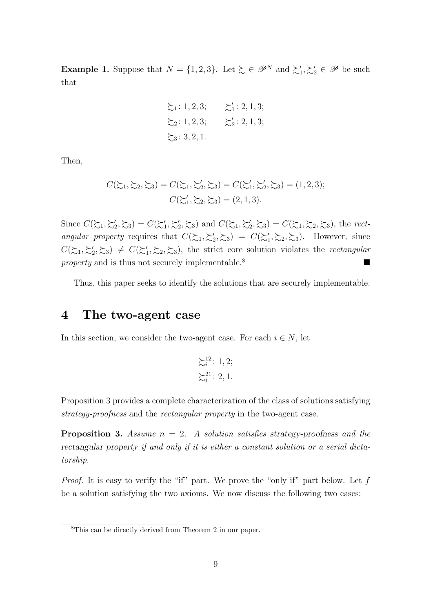**Example 1.** Suppose that  $N = \{1, 2, 3\}$ . Let  $\succeq \in \mathscr{P}^N$  and  $\succeq'_1, \succeq'_2 \in \mathscr{P}$  be such that

$$
\Sigma_1
$$
: 1, 2, 3;  $\Sigma'_1$ : 2, 1, 3;  
\n $\Sigma_2$ : 1, 2, 3;  $\Sigma'_2$ : 2, 1, 3;  
\n $\Sigma_3$ : 3, 2, 1.

Then,

$$
C(\mathcal{L}_1, \mathcal{L}_2, \mathcal{L}_3) = C(\mathcal{L}_1, \mathcal{L}_2', \mathcal{L}_3) = C(\mathcal{L}_1', \mathcal{L}_2', \mathcal{L}_3) = (1, 2, 3);
$$
  

$$
C(\mathcal{L}_1', \mathcal{L}_2, \mathcal{L}_3) = (2, 1, 3).
$$

Since  $C(\mathcal{L}_1, \mathcal{L}_2', \mathcal{L}_3) = C(\mathcal{L}_1', \mathcal{L}_2', \mathcal{L}_3)$  and  $C(\mathcal{L}_1, \mathcal{L}_2', \mathcal{L}_3) = C(\mathcal{L}_1, \mathcal{L}_2, \mathcal{L}_3)$ , the *rectangular property* requires that  $C(\succsim_1, \succsim'_2, \succsim_3) = C(\succsim'_1, \succsim_2, \succsim_3)$ . However, since  $C(\succsim_1, \succsim'_2, \succsim_3) \neq C(\succsim'_1, \succsim_2, \succsim_3)$ , the strict core solution violates the *rectangular property* and is thus not securely implementable.<sup>8</sup>

Thus, this paper seeks to identify the solutions that are securely implementable.

### **4 The two-agent case**

In this section, we consider the two-agent case. For each  $i \in N$ , let

$$
\begin{aligned}\n \sum_{i=1}^{12} & \vdots & 1, 2; \\
 \sum_{i=1}^{21} & \vdots & 2, 1.\n \end{aligned}
$$

Proposition 3 provides a complete characterization of the class of solutions satisfying *strategy-proofness* and the *rectangular property* in the two-agent case.

**Proposition 3.** *Assume*  $n = 2$ . *A solution satisfies strategy-proofness and the rectangular property if and only if it is either a constant solution or a serial dictatorship.*

*Proof.* It is easy to verify the "if" part. We prove the "only if" part below. Let f be a solution satisfying the two axioms. We now discuss the following two cases:

<sup>8</sup>This can be directly derived from Theorem 2 in our paper.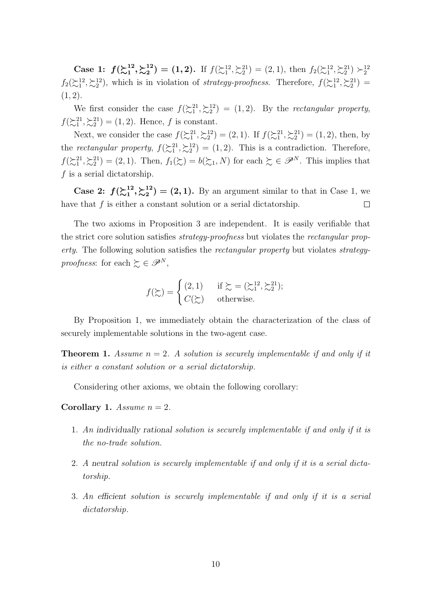**Case 1:**  $f(\sum_{1}^{12})$  $\begin{array}{c} \n12 \overline{\smash)22} \ \n1 \overline{\smash)22} \ \n\end{array}$  $\mathbf{A}^{(2)}_2 = (1,2)$ . If  $f(\mathbf{a}^{12}, \mathbf{a}^{21}) = (2,1)$ , then  $f_2(\mathbf{a}^{12}, \mathbf{a}^{21}) > 1$  $f_2(\succsim_1^{12}, \succsim_2^{12})$ , which is in violation of *strategy-proofness*. Therefore,  $f(\succsim_1^{12}, \succsim_2^{21})$ (1*,* 2).

We first consider the case  $f(\mathcal{L}_1^{21}, \mathcal{L}_2^{12}) = (1, 2)$ . By the *rectangular property*,  $f(\mathcal{L}_1^{21}, \mathcal{L}_2^{21}) = (1, 2)$ . Hence, *f* is constant.

Next, we consider the case  $f(\succ_{1}^{21}, \succ_{2}^{12}) = (2, 1)$ . If  $f(\succ_{1}^{21}, \succ_{2}^{21}) = (1, 2)$ , then, by the *rectangular property*,  $f(\geq_1^{21}, \geq_2^{12}) = (1, 2)$ . This is a contradiction. Therefore,  $f(\mathbb{Z}_1^2, \mathbb{Z}_2^2) = (2, 1)$ . Then,  $f_1(\mathbb{Z}) = b(\mathbb{Z}_1, N)$  for each  $\mathbb{Z} \in \mathscr{P}^N$ . This implies that *f* is a serial dictatorship.

**Case 2:**  $f(\sum_{1}^{12})$  $\begin{array}{c} \n12 \overline{\smash)22} \ \n1 \overline{\smash)22} \ \n\end{array}$  $\binom{12}{2}$  = (2, 1). By an argument similar to that in Case 1, we have that  $f$  is either a constant solution or a serial dictatorship.  $\Box$ 

The two axioms in Proposition 3 are independent. It is easily verifiable that the strict core solution satisfies *strategy-proofness* but violates the *rectangular property*. The following solution satisfies the *rectangular property* but violates *strategyproofness*: for each  $\succeq \in \mathscr{P}^N$ ,

$$
f(\succsim) = \begin{cases} (2,1) & \text{if } \succsim = (\succsim_1^{12}, \succsim_2^{21}); \\ C(\succsim) & \text{otherwise.} \end{cases}
$$

By Proposition 1, we immediately obtain the characterization of the class of securely implementable solutions in the two-agent case.

**Theorem 1.** *Assume*  $n = 2$ *. A solution is securely implementable if and only if it is either a constant solution or a serial dictatorship.*

Considering other axioms, we obtain the following corollary:

**Corollary 1.** *Assume*  $n = 2$ *.* 

- 1. *An individually rational solution is securely implementable if and only if it is the no-trade solution.*
- 2. *A neutral solution is securely implementable if and only if it is a serial dictatorship.*
- 3. *An efficient solution is securely implementable if and only if it is a serial dictatorship.*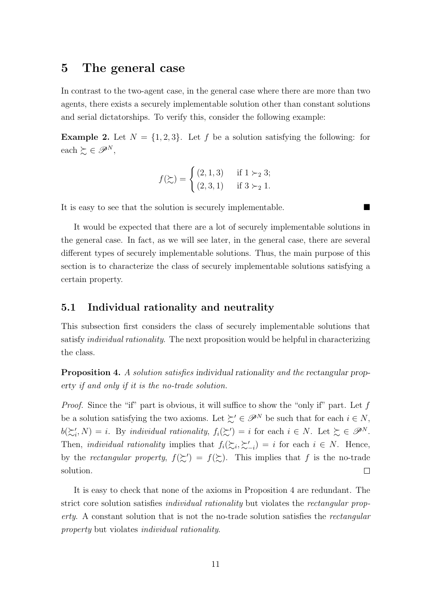### **5 The general case**

In contrast to the two-agent case, in the general case where there are more than two agents, there exists a securely implementable solution other than constant solutions and serial dictatorships. To verify this, consider the following example:

**Example 2.** Let  $N = \{1, 2, 3\}$ . Let f be a solution satisfying the following: for each  $\succeq$  ∈  $\mathscr{P}^N$ ,

$$
f(\succsim) = \begin{cases} (2,1,3) & \text{if } 1 \succ_2 3; \\ (2,3,1) & \text{if } 3 \succ_2 1. \end{cases}
$$

It is easy to see that the solution is securely implementable.

It would be expected that there are a lot of securely implementable solutions in the general case. In fact, as we will see later, in the general case, there are several different types of securely implementable solutions. Thus, the main purpose of this section is to characterize the class of securely implementable solutions satisfying a certain property.

### **5.1 Individual rationality and neutrality**

This subsection first considers the class of securely implementable solutions that satisfy *individual rationality*. The next proposition would be helpful in characterizing the class.

**Proposition 4.** *A solution satisfies individual rationality and the rectangular property if and only if it is the no-trade solution.*

*Proof.* Since the "if" part is obvious, it will suffice to show the "only if" part. Let f be a solution satisfying the two axioms. Let  $\succsim' \in \mathscr{P}^N$  be such that for each  $i \in N$ ,  $b(\succsim'_{i}, N) = i$ . By *individual rationality*,  $f_i(\succsim') = i$  for each  $i \in N$ . Let  $\succsim \in \mathscr{P}^{N}$ . Then, *individual rationality* implies that  $f_i(\succsim_i, \succsim'_{-i}) = i$  for each  $i \in N$ . Hence, by the *rectangular property*,  $f(\succsim') = f(\succsim)$ . This implies that f is the no-trade solution.  $\Box$ 

It is easy to check that none of the axioms in Proposition 4 are redundant. The strict core solution satisfies *individual rationality* but violates the *rectangular property*. A constant solution that is not the no-trade solution satisfies the *rectangular property* but violates *individual rationality*.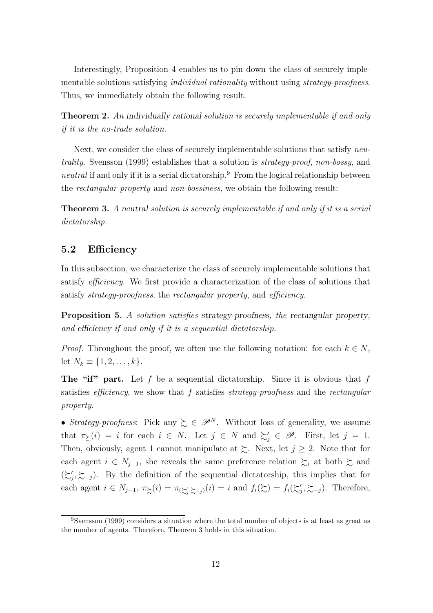Interestingly, Proposition 4 enables us to pin down the class of securely implementable solutions satisfying *individual rationality* without using *strategy-proofness*. Thus, we immediately obtain the following result.

**Theorem 2.** *An individually rational solution is securely implementable if and only if it is the no-trade solution.*

Next, we consider the class of securely implementable solutions that satisfy *neutrality*. Svensson (1999) establishes that a solution is *strategy-proof*, *non-bossy*, and *neutral* if and only if it is a serial dictatorship.<sup>9</sup> From the logical relationship between the *rectangular property* and *non-bossiness*, we obtain the following result:

**Theorem 3.** *A neutral solution is securely implementable if and only if it is a serial dictatorship.*

### **5.2 Efficiency**

In this subsection, we characterize the class of securely implementable solutions that satisfy *efficiency*. We first provide a characterization of the class of solutions that satisfy *strategy-proofness*, the *rectangular property*, and *efficiency*.

**Proposition 5.** *A solution satisfies strategy-proofness, the rectangular property, and efficiency if and only if it is a sequential dictatorship.*

*Proof.* Throughout the proof, we often use the following notation: for each  $k \in N$ , let  $N_k \equiv \{1, 2, \ldots, k\}.$ 

**The "if" part.** Let *f* be a sequential dictatorship. Since it is obvious that *f* satisfies *efficiency*, we show that *f* satisfies *strategy-proofness* and the *rectangular property*.

• *Strategy-proofness*: Pick any  $\succeq \in \mathscr{P}^N$ . Without loss of generality, we assume that  $\pi_{\geq}(i) = i$  for each  $i \in N$ . Let  $j \in N$  and  $\succeq'_{j} \in \mathscr{P}$ . First, let  $j = 1$ . Then, obviously, agent 1 cannot manipulate at  $\succsim$ . Next, let  $j \geq 2$ . Note that for each agent  $i \in N_{j-1}$ , she reveals the same preference relation  $\succsim_i$  at both  $\succsim$  and  $(\succsim'_{j}, \succsim_{-j})$ . By the definition of the sequential dictatorship, this implies that for each agent  $i \in N_{j-1}$ ,  $\pi_{\Sigma}(i) = \pi_{(\Sigma'_j, \Sigma_{-j})}(i) = i$  and  $f_i(\Sigma) = f_i(\Sigma'_j, \Sigma_{-j})$ . Therefore,

<sup>9</sup>Svensson (1999) considers a situation where the total number of objects is at least as great as the number of agents. Therefore, Theorem 3 holds in this situation.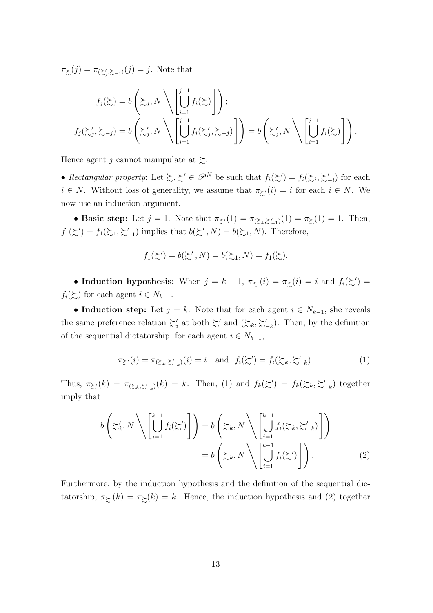$\pi_{\succsim}(j) = \pi_{(\succsim'_{j},\succsim_{j})}(j) = j$ . Note that

$$
f_j(\succsim) = b\left(\succsim_j, N\setminus\left[\bigcup_{i=1}^{j-1} f_i(\succsim)\right]\right);
$$
  

$$
f_j(\succsim'_j, \succsim_{-j}) = b\left(\succsim'_j, N\setminus\left[\bigcup_{i=1}^{j-1} f_i(\succsim'_j, \succsim_{-j})\right]\right) = b\left(\succsim'_j, N\setminus\left[\bigcup_{i=1}^{j-1} f_i(\succsim)\right]\right).
$$

Hence agent *j* cannot manipulate at  $\gtrsim$ .

• *Rectangular property:* Let  $\succsim, \succsim' \in \mathscr{P}^N$  be such that  $f_i(\succsim') = f_i(\succsim_i, \succsim'_{-i})$  for each *i*  $\in$  *N*. Without loss of generality, we assume that  $\pi_{\succeq'}(i) = i$  for each  $i \in N$ . We now use an induction argument.

• **Basic step:** Let  $j = 1$ . Note that  $\pi_{\mathcal{Z}'}(1) = \pi_{(\mathcal{Z}_1, \mathcal{Z}'_{-1})}(1) = \pi_{\mathcal{Z}}(1) = 1$ . Then,  $f_1(\succsim') = f_1(\succsim_1, \succsim'_{-1})$  implies that  $b(\succsim'_1, N) = b(\succsim_1, N)$ . Therefore,

$$
f_1(\succsim') = b(\succsim_1', N) = b(\succsim_1, N) = f_1(\succsim).
$$

• **Induction hypothesis:** When  $j = k - 1$ ,  $\pi_{\geq}$ ′(*i*) =  $\pi_{\geq}$ (*i*) = *i* and  $f_i(\succsim')$  =  $f_i(\succsim)$  for each agent  $i \in N_{k-1}$ .

• **Induction step:** Let  $j = k$ . Note that for each agent  $i \in N_{k-1}$ , she reveals the same preference relation  $\succsim'_{i}$  at both  $\succsim'$  and  $(\succsim_{k}, \succsim'_{-k})$ . Then, by the definition of the sequential dictatorship, for each agent  $i \in N_{k-1}$ ,

$$
\pi_{\succeq'}(i) = \pi_{(\succeq_k, \succeq_{-k})}(i) = i \quad \text{and} \quad f_i(\succeq') = f_i(\succeq_k, \succeq_{-k}'). \tag{1}
$$

Thus,  $\pi_{\xi}(k) = \pi_{(\xi_k, \xi'_{-k})}(k) = k$ . Then, (1) and  $f_k(\xi') = f_k(\xi_k, \xi'_{-k})$  together imply that

$$
b\left(\succsim'_{k} N\right)\left[\bigcup_{i=1}^{k-1} f_{i}(\succsim')\right] = b\left(\succsim_{k} N\right)\left[\bigcup_{i=1}^{k-1} f_{i}(\succsim_{k}, \succsim'_{-k})\right]
$$

$$
= b\left(\succsim_{k} N\right)\left[\bigcup_{i=1}^{k-1} f_{i}(\succsim')\right].
$$
 (2)

Furthermore, by the induction hypothesis and the definition of the sequential dictatorship,  $\pi_{\succeq'}(k) = \pi_{\succeq}(k) = k$ . Hence, the induction hypothesis and (2) together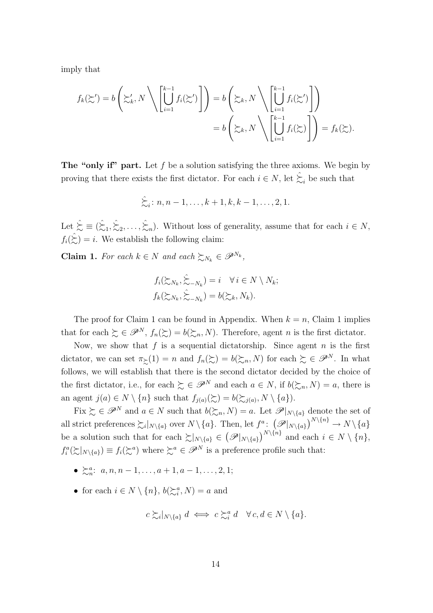imply that

$$
f_k(\succsim') = b\left(\succsim'_k, N\setminus\left[\bigcup_{i=1}^{k-1} f_i(\succsim')\right]\right) = b\left(\succsim_k, N\setminus\left[\bigcup_{i=1}^{k-1} f_i(\succsim')\right]\right)
$$

$$
= b\left(\succsim_k, N\setminus\left[\bigcup_{i=1}^{k-1} f_i(\succsim)\right]\right) = f_k(\succsim).
$$

**The "only if" part.** Let *f* be a solution satisfying the three axioms. We begin by proving that there exists the first dictator. For each  $i \in N$ , let  $\hat{\zeta}_i$  be such that

$$
\hat{\zeta}_i
$$
: n, n - 1, ..., k + 1, k, k - 1, ..., 2, 1.

Let  $\hat{\succsim} \equiv (\hat{\succsim}_1, \hat{\succsim}_2, \dots, \hat{\succsim}_n)$ . Without loss of generality, assume that for each  $i \in N$ ,  $f_i(\Sigma) = i$ . We establish the following claim:

**Claim 1.** *For each*  $k \in N$  *and each*  $\sum_{N_k} \in \mathcal{P}^{N_k}$ ,

$$
f_i(\sum_{N_k}, \hat{\sum}_{-N_k}) = i \quad \forall i \in N \setminus N_k;
$$
  

$$
f_k(\sum_{N_k}, \hat{\sum}_{-N_k}) = b(\sum_k, N_k).
$$

The proof for Claim 1 can be found in Appendix. When  $k = n$ , Claim 1 implies that for each  $\succsim \in \mathscr{P}^N$ ,  $f_n(\succsim) = b(\succsim_n, N)$ . Therefore, agent *n* is the first dictator.

Now, we show that  $f$  is a sequential dictatorship. Since agent  $n$  is the first dictator, we can set  $\pi_{\geq}(1) = n$  and  $f_n(\geq) = b(\geq_n, N)$  for each  $\geq \in \mathscr{P}^N$ . In what follows, we will establish that there is the second dictator decided by the choice of the first dictator, i.e., for each  $\geq \in \mathscr{P}^N$  and each  $a \in N$ , if  $b(\geq_n, N) = a$ , there is an agent  $j(a) \in N \setminus \{n\}$  such that  $f_{j(a)}(\succsim) = b(\succsim_{j(a)}, N \setminus \{a\})$ .

Fix  $\succeq \in \mathscr{P}^N$  and  $a \in N$  such that  $b(\succeq_n, N) = a$ . Let  $\mathscr{P}|_{N \setminus \{a\}}$  denote the set of all strict preferences  $\sum_i |_{N \setminus \{a\}}$  over  $N \setminus \{a\}$ . Then, let  $f^a: (\mathscr{P}|_{N \setminus \{a\}})^{N \setminus \{n\}} \to N \setminus \{a\}$ be a solution such that for each  $\sum_{N\setminus\{a\}} \in (\mathscr{P}|_{N\setminus\{a\}})^{N\setminus\{n\}}$  and each  $i \in N\setminus\{n\}$ ,  $f_i^a(\succsim |_{N\setminus\{a\}}) \equiv f_i(\succsim^a)$  where  $\succsim^a \in \mathscr{P}^N$  is a preference profile such that:

- $\bullet \sum_{n=1}^{\infty} a_i$  *a, n, n* − 1*, . . . , a* + 1*, a* − 1*, . . . ,* 2*,* 1;
- for each  $i \in N \setminus \{n\}$ ,  $b(\succeq_i^a, N) = a$  and

$$
c \succsim_{i} |_{N \setminus \{a\}} d \iff c \succsim_{i}^{a} d \quad \forall c, d \in N \setminus \{a\}.
$$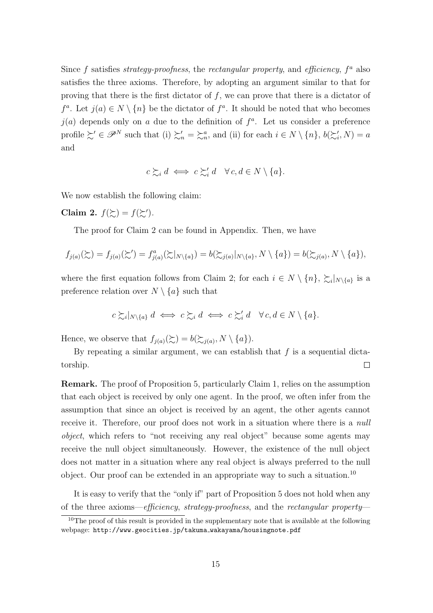Since *f* satisfies *strategy-proofness*, the *rectangular property*, and *efficiency*, *f <sup>a</sup>* also satisfies the three axioms. Therefore, by adopting an argument similar to that for proving that there is the first dictator of *f*, we can prove that there is a dictator of *f*<sup>*a*</sup>. Let *j*(*a*) ∈ *N*  $\setminus$  {*n}* be the dictator of *f*<sup>*a*</sup>. It should be noted that who becomes  $j(a)$  depends only on *a* due to the definition of  $f^a$ . Let us consider a preference profile  $\succeq' \in \mathscr{P}^N$  such that (i)  $\succeq'_n = \succeq^a_n$ , and (ii) for each  $i \in N \setminus \{n\}$ ,  $b(\succeq'_i, N) = a$ and

$$
c \succsim_i d \iff c \succsim'_i d \quad \forall c, d \in N \setminus \{a\}.
$$

We now establish the following claim:

**Claim 2.**  $f(\succsim) = f(\succsim')$ .

The proof for Claim 2 can be found in Appendix. Then, we have

$$
f_{j(a)}(\succsim) = f_{j(a)}(\succsim') = f_{j(a)}^a(\succsim|_{N\setminus\{a\}}) = b(\succsim_{j(a)}|_{N\setminus\{a\}}, N\setminus\{a\}) = b(\succsim_{j(a)}, N\setminus\{a\}),
$$

where the first equation follows from Claim 2; for each  $i \in N \setminus \{n\}$ ,  $\sum_{i} |N \setminus \{a\}$  is a preference relation over  $N \setminus \{a\}$  such that

$$
c \succsim_{i} |_{N \setminus \{a\}} d \iff c \succsim_{i} d \iff c \succsim'_{i} d \quad \forall c, d \in N \setminus \{a\}.
$$

Hence, we observe that  $f_{j(a)}(\succsim) = b(\succsim_{j(a)}, N \setminus \{a\})$ .

By repeating a similar argument, we can establish that *f* is a sequential dictatorship.  $\Box$ 

**Remark.** The proof of Proposition 5, particularly Claim 1, relies on the assumption that each object is received by only one agent. In the proof, we often infer from the assumption that since an object is received by an agent, the other agents cannot receive it. Therefore, our proof does not work in a situation where there is a *null object*, which refers to "not receiving any real object" because some agents may receive the null object simultaneously. However, the existence of the null object does not matter in a situation where any real object is always preferred to the null object. Our proof can be extended in an appropriate way to such a situation.<sup>10</sup>

It is easy to verify that the "only if" part of Proposition 5 does not hold when any of the three axioms—*efficiency*, *strategy-proofness*, and the *rectangular property*—

 $10$ The proof of this result is provided in the supplementary note that is available at the following webpage: http://www.geocities.jp/takuma wakayama/housingnote.pdf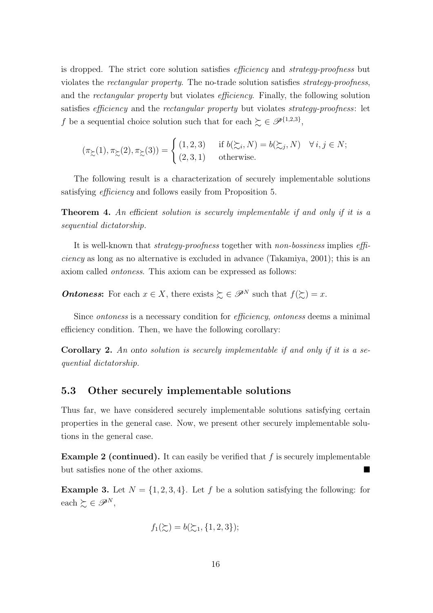is dropped. The strict core solution satisfies *efficiency* and *strategy-proofness* but violates the *rectangular property*. The no-trade solution satisfies *strategy-proofness*, and the *rectangular property* but violates *efficiency*. Finally, the following solution satisfies *efficiency* and the *rectangular property* but violates *strategy-proofness*: let *f* be a sequential choice solution such that for each  $\zeta \in \mathscr{P}^{\{1,2,3\}}$ ,

$$
(\pi_{\succsim}(1), \pi_{\succsim}(2), \pi_{\succsim}(3)) = \begin{cases} (1, 2, 3) & \text{if } b(\succsim_{i}, N) = b(\succsim_{j}, N) \quad \forall i, j \in N; \\ (2, 3, 1) & \text{otherwise.} \end{cases}
$$

The following result is a characterization of securely implementable solutions satisfying *efficiency* and follows easily from Proposition 5.

**Theorem 4.** *An efficient solution is securely implementable if and only if it is a sequential dictatorship.*

It is well-known that *strategy-proofness* together with *non-bossiness* implies *efficiency* as long as no alternative is excluded in advance (Takamiya, 2001); this is an axiom called *ontoness*. This axiom can be expressed as follows:

*Ontoness***:** For each  $x \in X$ , there exists  $\sum \in \mathscr{P}^N$  such that  $f(\sum) = x$ .

Since *ontoness* is a necessary condition for *efficiency*, *ontoness* deems a minimal efficiency condition. Then, we have the following corollary:

**Corollary 2.** *An onto solution is securely implementable if and only if it is a sequential dictatorship.*

### **5.3 Other securely implementable solutions**

Thus far, we have considered securely implementable solutions satisfying certain properties in the general case. Now, we present other securely implementable solutions in the general case.

**Example 2 (continued).** It can easily be verified that *f* is securely implementable but satisfies none of the other axioms.

**Example 3.** Let  $N = \{1, 2, 3, 4\}$ . Let f be a solution satisfying the following: for  $\text{each} \succsim \in \mathscr{P}^N$ ,

$$
f_1(\succsim) = b(\succsim_1, \{1, 2, 3\});
$$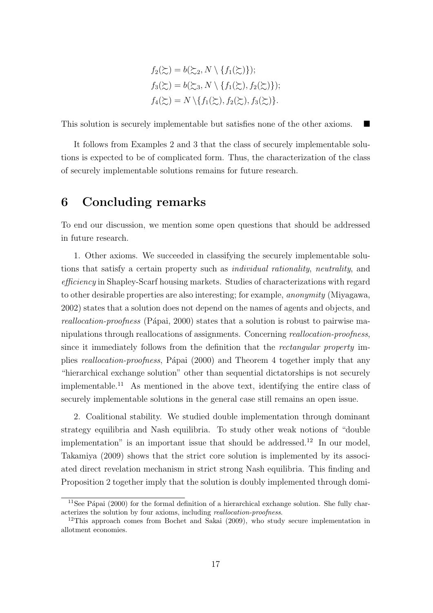$$
f_2(\Sigma) = b(\Sigma_2, N \setminus \{f_1(\Sigma)\});
$$
  
\n
$$
f_3(\Sigma) = b(\Sigma_3, N \setminus \{f_1(\Sigma), f_2(\Sigma)\});
$$
  
\n
$$
f_4(\Sigma) = N \setminus \{f_1(\Sigma), f_2(\Sigma), f_3(\Sigma)\}.
$$

This solution is securely implementable but satisfies none of the other axioms.

It follows from Examples 2 and 3 that the class of securely implementable solutions is expected to be of complicated form. Thus, the characterization of the class of securely implementable solutions remains for future research.

# **6 Concluding remarks**

To end our discussion, we mention some open questions that should be addressed in future research.

1. Other axioms. We succeeded in classifying the securely implementable solutions that satisfy a certain property such as *individual rationality*, *neutrality*, and *efficiency* in Shapley-Scarf housing markets. Studies of characterizations with regard to other desirable properties are also interesting; for example, *anonymity* (Miyagawa, 2002) states that a solution does not depend on the names of agents and objects, and *reallocation-proofness* (Pápai, 2000) states that a solution is robust to pairwise manipulations through reallocations of assignments. Concerning *reallocation-proofness*, since it immediately follows from the definition that the *rectangular property* implies *reallocation-proofness*, P´apai (2000) and Theorem 4 together imply that any "hierarchical exchange solution" other than sequential dictatorships is not securely implementable.<sup>11</sup> As mentioned in the above text, identifying the entire class of securely implementable solutions in the general case still remains an open issue.

2. Coalitional stability. We studied double implementation through dominant strategy equilibria and Nash equilibria. To study other weak notions of "double implementation" is an important issue that should be addressed.<sup>12</sup> In our model, Takamiya (2009) shows that the strict core solution is implemented by its associated direct revelation mechanism in strict strong Nash equilibria. This finding and Proposition 2 together imply that the solution is doubly implemented through domi-

<sup>&</sup>lt;sup>11</sup>See Pápai (2000) for the formal definition of a hierarchical exchange solution. She fully characterizes the solution by four axioms, including *reallocation-proofness*.

 $12$ This approach comes from Bochet and Sakai (2009), who study secure implementation in allotment economies.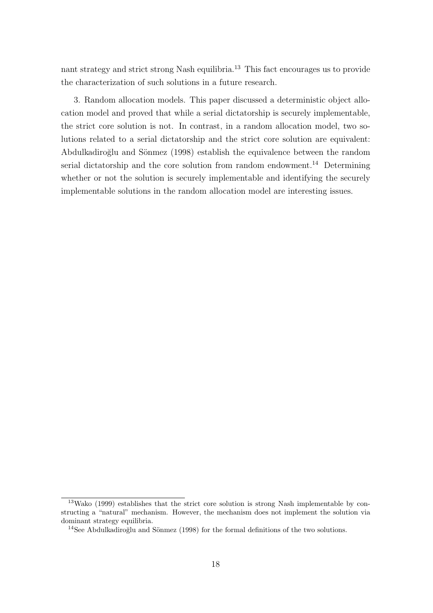nant strategy and strict strong Nash equilibria.<sup>13</sup> This fact encourages us to provide the characterization of such solutions in a future research.

3. Random allocation models. This paper discussed a deterministic object allocation model and proved that while a serial dictatorship is securely implementable, the strict core solution is not. In contrast, in a random allocation model, two solutions related to a serial dictatorship and the strict core solution are equivalent: Abdulkadiroğlu and Sönmez (1998) establish the equivalence between the random serial dictatorship and the core solution from random endowment.<sup>14</sup> Determining whether or not the solution is securely implementable and identifying the securely implementable solutions in the random allocation model are interesting issues.

 $13$ Wako (1999) establishes that the strict core solution is strong Nash implementable by constructing a "natural" mechanism. However, the mechanism does not implement the solution via dominant strategy equilibria.

 $14$ See Abdulkadiroğlu and Sönmez (1998) for the formal definitions of the two solutions.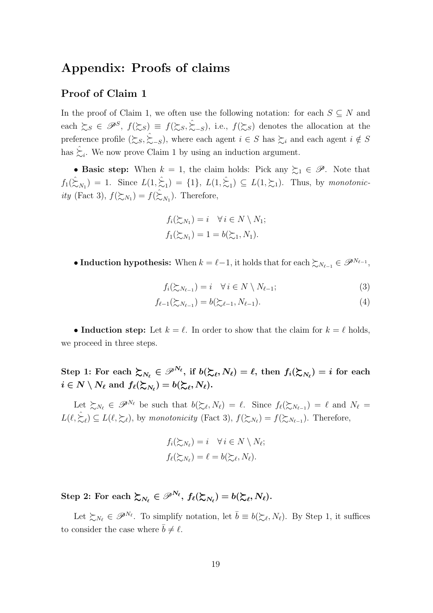# **Appendix: Proofs of claims**

### **Proof of Claim 1**

In the proof of Claim 1, we often use the following notation: for each  $S \subseteq N$  and each  $\sum_{S} \in \mathscr{P}^S$ ,  $f(\sum_{S} \in \mathscr{S}^S)$  =  $f(\sum_{S} \in \mathscr{S}^S)$ , i.e.,  $f(\sum_{S} \in \mathscr{P}^S)$  denotes the allocation at the preference profile  $(\succsim_S, \succsim_{-S}^{\sim})$ , where each agent  $i \in S$  has  $\succsim_i$  and each agent  $i \notin S$ has  $\hat{\zeta}_i$ . We now prove Claim 1 by using an induction argument.

• **Basic step:** When  $k = 1$ , the claim holds: Pick any  $\succeq_1 \in \mathscr{P}$ . Note that  $f_1(\hat{\xi}_{N_1}) = 1$ . Since  $L(1, \hat{\xi}_1) = \{1\}$ ,  $L(1, \hat{\xi}_1) \subseteq L(1, \xi_1)$ . Thus, by *monotonicity* (Fact 3),  $f(\xi_{N_1}) = f(\hat{\xi}_{N_1})$ . Therefore,

$$
f_i(\succsim_{N_1}) = i \quad \forall i \in N \setminus N_1;
$$
  

$$
f_1(\succsim_{N_1}) = 1 = b(\succsim_1, N_1).
$$

• **Induction hypothesis:** When  $k = \ell - 1$ , it holds that for each  $\sum_{N_{\ell-1}} \in \mathcal{P}^{N_{\ell-1}}$ ,

 $f_i(\sum_{N_{\ell-1}}) = i \quad \forall i \in N \setminus N_{\ell-1};$  (3)

$$
f_{\ell-1}(\gtrsim_{N_{\ell-1}}) = b(\gtrsim_{\ell-1}, N_{\ell-1}).
$$
\n(4)

• **Induction step:** Let  $k = \ell$ . In order to show that the claim for  $k = \ell$  holds, we proceed in three steps.

Step 1: For each  $\succsim_{N_{\ell}} \in \mathscr{P}^{N_{\ell}}$ , if  $b(\succsim_{\ell}, N_{\ell}) = \ell$ , then  $f_i(\succsim_{N_{\ell}}) = i$  for each  $i \in N \setminus N_{\ell} \text{ and } f_{\ell}(\succsim_{N_{\ell}}) = b(\succsim_{\ell}, N_{\ell}).$ 

Let  $\sum_{N_{\ell}} \in \mathscr{P}^{N_{\ell}}$  be such that  $b(\sum_{\ell}, N_{\ell}) = \ell$ . Since  $f_{\ell}(\sum_{N_{\ell-1}}) = \ell$  and  $N_{\ell} =$  $L(\ell, \hat{\Sigma}_{\ell}) \subseteq L(\ell, \Sigma_{\ell})$ , by *monotonicity* (Fact 3),  $f(\Sigma_{N_{\ell}}) = f(\Sigma_{N_{\ell-1}})$ . Therefore,

$$
f_i(\succsim N_\ell) = i \quad \forall i \in N \setminus N_\ell;
$$
  

$$
f_\ell(\succsim N_\ell) = \ell = b(\succsim_\ell, N_\ell).
$$

 $\text{Step 2: For each } \zeta_{N_\ell} \in \mathscr{P}^{N_\ell}, f_\ell(\zeta_{N_\ell}) = b(\zeta_\ell, N_\ell).$ 

Let  $\succeq_{N_{\ell}} \in \mathscr{P}^{N_{\ell}}$ . To simplify notation, let  $\bar{b} \equiv b(\succcurlyeq_{\ell}, N_{\ell})$ . By Step 1, it suffices to consider the case where  $b \neq \ell$ .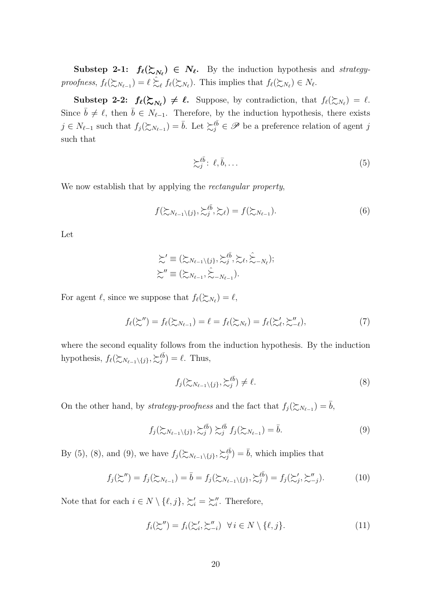**Substep 2-1:**  $f_{\ell}(\mathcal{Z}_{N_{\ell}}) \in N_{\ell}$ . By the induction hypothesis and *strategyproofness*,  $f_{\ell}(\gtrsim_{N_{\ell-1}}) = \ell \gtrsim_{\ell} f_{\ell}(\gtrsim_{N_{\ell}})$ . This implies that  $f_{\ell}(\gtrsim_{N_{\ell}}) \in N_{\ell}$ .

**Substep 2-2:**  $f_{\ell}(\mathcal{Z}_{N_{\ell}}) \neq \ell$ . Suppose, by contradiction, that  $f_{\ell}(\mathcal{Z}_{N_{\ell}}) = \ell$ . Since  $\bar{b} \neq \ell$ , then  $\bar{b} \in N_{\ell-1}$ . Therefore, by the induction hypothesis, there exists  $j \in N_{\ell-1}$  such that  $f_j(\succsim N_{\ell-1}) = \overline{b}$ . Let  $\succsim_i^{\ell\overline{b}} \in \mathscr{P}$  be a preference relation of agent *j* such that

$$
\sum_{j}^{\ell \bar{b}} \colon \ell, \bar{b}, \dots \tag{5}
$$

We now establish that by applying the *rectangular property*,

$$
f(\sum_{N_{\ell-1}\setminus\{j\}},\sum_{j}^{\ell\bar{b}},\sum_{\ell})=f(\sum_{N_{\ell-1}}).
$$
 (6)

Let

$$
\begin{aligned}\n\sum' & \equiv (\sum_{N_{\ell-1}\setminus\{j\}}, \sum_{j}^{\ell \bar{b}}, \sum_{\ell}, \hat{\sum}_{-N_{\ell}}); \\
\sum'' & \equiv (\sum_{N_{\ell-1}}, \hat{\sum}_{-N_{\ell-1}}).\n\end{aligned}
$$

For agent  $\ell$ , since we suppose that  $f_{\ell}(\succsim N_{\ell}) = \ell$ ,

$$
f_{\ell}(\succsim^{\prime\prime}) = f_{\ell}(\succsim_{N_{\ell-1}}) = \ell = f_{\ell}(\succsim_{N_{\ell}}) = f_{\ell}(\succsim^{\prime}_{\ell}, \succsim^{\prime\prime}_{-\ell}),
$$
\n(7)

where the second equality follows from the induction hypothesis. By the induction hypothesis,  $f_{\ell}(\succsim N_{\ell-1}\setminus\{j\}, \succsim j^{\ell\bar{b}}) = \ell$ . Thus,

$$
f_j(\mathcal{L}_{N_{\ell-1}\setminus\{j\}}, \mathcal{L}_j^{\ell\bar{b}}) \neq \ell. \tag{8}
$$

On the other hand, by *strategy-proofness* and the fact that  $f_j(\textbf{X}_{N_{\ell-1}}) = \overline{b}$ ,

$$
f_j(\mathcal{L}_{N_{\ell-1}\setminus\{j\}}, \mathcal{L}_j^{\ell \bar{b}}) \mathcal{L}_j^{\ell \bar{b}} f_j(\mathcal{L}_{N_{\ell-1}}) = \bar{b}.\tag{9}
$$

By (5), (8), and (9), we have  $f_j(\sum_{N_{\ell-1}\setminus\{j\}},\sum_{j}^{\ell\bar{b}})=\bar{b}$ , which implies that

$$
f_j(\succsim'') = f_j(\succsim_{N_{\ell-1}}) = \overline{b} = f_j(\succsim_{N_{\ell-1}\setminus\{j\}}, \succsim_j^{\ell\overline{b}}) = f_j(\succsim'_j, \succsim_{-j}^{\prime\prime}).
$$
\n(10)

Note that for each  $i \in N \setminus \{\ell, j\}, \, \succsim_i' = \succsim_i''$ . Therefore,

$$
f_i(\succsim'') = f_i(\succsim_i', \succsim_{-i}'') \quad \forall \, i \in N \setminus \{\ell, j\}.
$$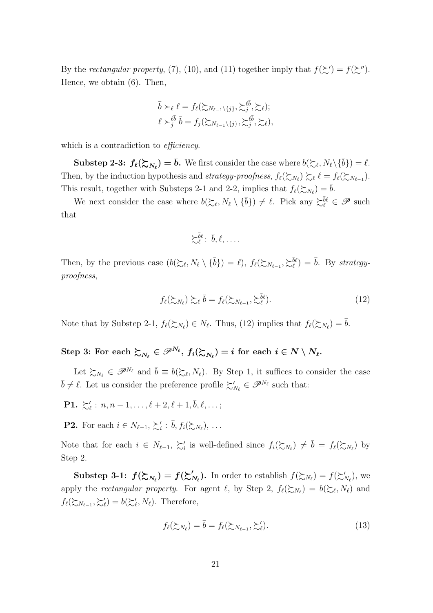By the *rectangular property*, (7), (10), and (11) together imply that  $f(\succsim') = f(\succsim'')$ . Hence, we obtain (6). Then,

$$
\bar{b} \succ_{\ell} \ell = f_{\ell}(\succsim_{N_{\ell-1}\setminus\{j\}}, \succsim_{j}^{\ell \bar{b}}, \succsim_{\ell});
$$
  

$$
\ell \succ_{j}^{\ell \bar{b}} \bar{b} = f_{j}(\succsim_{N_{\ell-1}\setminus\{j\}}, \succsim_{j}^{\ell \bar{b}}, \succsim_{\ell}),
$$

which is a contradiction to *efficiency*.

**Substep 2-3:**  $f_{\ell}(\mathcal{E}_{N_{\ell}}) = \bar{b}$ . We first consider the case where  $b(\mathcal{E}_{\ell}, N_{\ell} \setminus {\bar{b}}) = \ell$ . Then, by the induction hypothesis and *strategy-proofness*,  $f_{\ell}(\gtrsim_{N_{\ell}}) \gtrsim_{\ell} \ell = f_{\ell}(\gtrsim_{N_{\ell-1}})$ . This result, together with Substeps 2-1 and 2-2, implies that  $f_{\ell}(\gtrsim_{N_{\ell}}) = \bar{b}$ .

We next consider the case where  $b(\succcurlyeq_{\ell}, N_{\ell} \setminus {\{\overline{b}\}}) \neq \ell$ . Pick any  $\succcurlyeq_{\ell}^{\overline{b}\ell} \in \mathscr{P}$  such that

$$
\succsim_{\ell}^{\bar{b}\ell}:\ \bar{b},\ell,\ldots.
$$

Then, by the previous case  $(b(\succcurlyeq_{\ell}, N_{\ell} \setminus {\{\overline{b}\}}) = \ell), f_{\ell}(\succucccurlyeq_{N_{\ell-1}}, \succcurlyeq_{\ell}^{\{\overline{b}\}}) = \overline{b}$ . By *strategyproofness*,

$$
f_{\ell}(\succsim_{N_{\ell}}) \succsim_{\ell} \bar{b} = f_{\ell}(\succsim_{N_{\ell-1}}, \succsim_{\ell}^{\bar{b}\ell}).
$$
\n(12)

Note that by Substep 2-1,  $f_{\ell}(\succsim N_{\ell}) \in N_{\ell}$ . Thus, (12) implies that  $f_{\ell}(\succsim N_{\ell}) = \overline{b}$ .

# $\text{Step 3: For each } \succsim_{N_{\ell}} \in \mathscr{P}^{N_{\ell}}, \ f_i(\succsim_{N_{\ell}}) = i \text{ for each } i \in N \setminus N_{\ell}.$

Let  $\sum_{N_{\ell}} \in \mathscr{P}^{N_{\ell}}$  and  $\bar{b} \equiv b(\sum_{\ell}, N_{\ell})$ . By Step 1, it suffices to consider the case  $\overline{b} \neq \ell$ . Let us consider the preference profile  $\sum'_{N_{\ell}} \in \mathscr{P}^{N_{\ell}}$  such that:

- **P1.**  $\succsim_{\ell}^{\prime} : n, n-1, \ldots, \ell+2, \ell+1, \bar{b}, \ell, \ldots;$
- **P2.** For each  $i \in N_{\ell-1}, \succsim_i' : \overline{b}, f_i(\succsim_{N_{\ell}}), \ldots$

Note that for each  $i \in N_{\ell-1}, \succsim_i'$  is well-defined since  $f_i(\succsim N_{\ell}) \neq \overline{b} = f_{\ell}(\succsim N_{\ell})$  by Step 2.

**Substep 3-1:**  $f(\mathcal{Z}_{N_{\ell}}) = f(\mathcal{Z}'_{N_{\ell}})$ . In order to establish  $f(\mathcal{Z}_{N_{\ell}}) = f(\mathcal{Z}'_{N_{\ell}})$ , we apply the *rectangular property*. For agent  $\ell$ , by Step 2,  $f_{\ell}(\geq \chi_{\ell}) = b(\geq \ell, N_{\ell})$  and  $f_{\ell}(\mathcal{Z}_{N_{\ell-1}}, \mathcal{Z}'_{\ell}) = b(\mathcal{Z}'_{\ell}, N_{\ell}).$  Therefore,

$$
f_{\ell}(\gtrsim_{N_{\ell}}) = \bar{b} = f_{\ell}(\gtrsim_{N_{\ell-1}}, \gtrsim_{\ell}'). \tag{13}
$$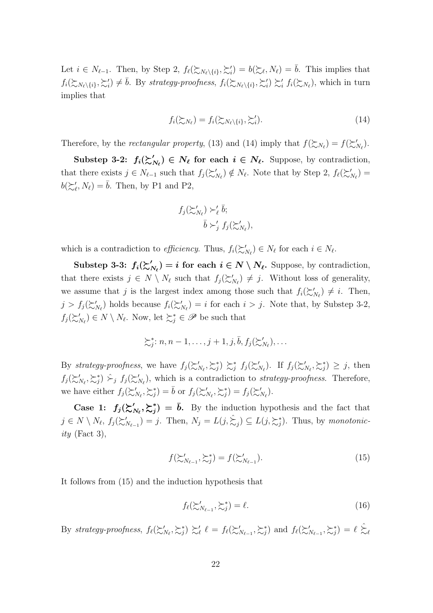Let  $i \in N_{\ell-1}$ . Then, by Step 2,  $f_{\ell}(\mathcal{E}_{N_{\ell}\setminus\{i\}}, \mathcal{E}'_i) = b(\mathcal{E}_{\ell}, N_{\ell}) = \overline{b}$ . This implies that  $f_i(\mathcal{Z}_{N_{\ell}}\setminus\{i\},\mathcal{Z}'_i) \neq \overline{b}$ . By strategy-proofness,  $f_i(\mathcal{Z}_{N_{\ell}}\setminus\{i\},\mathcal{Z}'_i) \succsim_i' f_i(\mathcal{Z}_{N_{\ell}})$ , which in turn implies that

$$
f_i(\succsim N_\ell) = f_i(\succsim N_\ell \setminus \{i\}, \succsim'_i).
$$
\n(14)

Therefore, by the *rectangular property*, (13) and (14) imply that  $f(\xi_{N_\ell}) = f(\xi'_{N_\ell})$ .

**Substep 3-2:**  $f_i(\mathcal{Z}'_{N_\ell}) \in N_\ell$  for each  $i \in N_\ell$ . Suppose, by contradiction, that there exists  $j \in N_{\ell-1}$  such that  $f_j(\succsim'_{N_{\ell}}) \notin N_{\ell}$ . Note that by Step 2,  $f_{\ell}(\succsim'_{N_{\ell}})$  $b(\succeq_{\ell}^{\prime}, N_{\ell}) = \bar{b}$ . Then, by P1 and P2,

$$
f_j(\succsim'_{N_{\ell}}) \succ'_{\ell} \overline{b};
$$
  

$$
\overline{b} \succ'_{j} f_j(\succsim'_{N_{\ell}}),
$$

which is a contradiction to *efficiency*. Thus,  $f_i(\mathcal{Z}'_{N_\ell}) \in N_\ell$  for each  $i \in N_\ell$ .

**Substep 3-3:**  $f_i(\mathcal{Z}'_{N_\ell}) = i$  for each  $i \in N \setminus N_\ell$ . Suppose, by contradiction, that there exists  $j \in N \setminus N_{\ell}$  such that  $f_j(\succsim'_{N_{\ell}}) \neq j$ . Without loss of generality, we assume that *j* is the largest index among those such that  $f_i(\succsim'_{N_\ell}) \neq i$ . Then,  $j > f_j(\succsim'_{N_\ell})$  holds because  $f_i(\succsim'_{N_\ell}) = i$  for each  $i > j$ . Note that, by Substep 3-2,  $f_j(\succsim'_{N_\ell}) \in N \setminus N_\ell$ . Now, let  $\succsim^*_j \in \mathscr{P}$  be such that

$$
\succsim_j^* : n, n-1, \ldots, j+1, j, \overline{b}, f_j(\succsim'_{N_{\ell}}), \ldots
$$

By strategy-proofness, we have  $f_j(\succsim'_{N_\ell}, \succsim^*_j) \succsim^*_j f_j(\succsim'_{N_\ell})$ . If  $f_j(\succsim'_{N_\ell}, \succsim^*_j) \geq j$ , then  $f_j(\succsim'_{N_\ell}, \succsim^*_j)$   $\succsim_j$   $f_j(\succsim'_{N_\ell})$ , which is a contradiction to *strategy-proofness*. Therefore, we have either  $f_j(\succsim'_{N_\ell}, \succsim^*_j) = \overline{b}$  or  $f_j(\succsim'_{N_\ell}, \succsim^*_j) = f_j(\succsim'_{N_\ell})$ .

**Case 1:**  $f_j(\succsim N_i, \succsim_j^*) = \overline{b}$ . By the induction hypothesis and the fact that  $j \in N \setminus N_{\ell}, f_j(\succsim N_{\ell-1}) = j$ . Then,  $N_j = L(j, \succsim j) \subseteq L(j, \succsim_j^*)$ . Thus, by monotonic*ity* (Fact 3),

$$
f(\mathcal{Z}_{N_{\ell-1}}', \mathcal{Z}_j^*) = f(\mathcal{Z}_{N_{\ell-1}}'). \tag{15}
$$

It follows from (15) and the induction hypothesis that

$$
f_{\ell}(\mathcal{L}_{N_{\ell-1}}', \mathcal{L}_j^*) = \ell. \tag{16}
$$

By strategy-proofness,  $f_{\ell}(\mathcal{Z}'_{N_{\ell}}, \mathcal{Z}_{j}) \mathcal{Z}'_{\ell}$   $\ell = f_{\ell}(\mathcal{Z}'_{N_{\ell-1}}, \mathcal{Z}_{j})$  and  $f_{\ell}(\mathcal{Z}'_{N_{\ell-1}}, \mathcal{Z}_{j}) = \ell \hat{\mathcal{Z}}_{\ell}$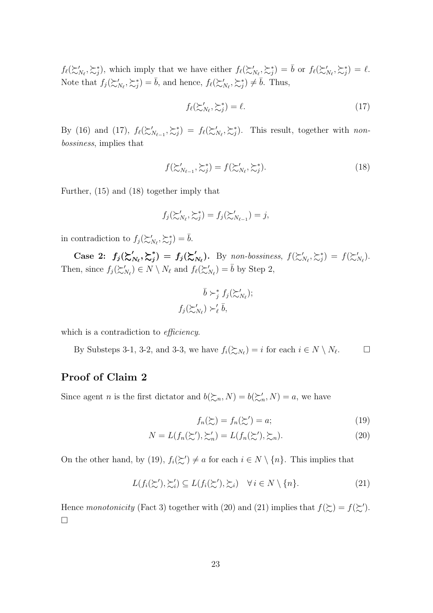$f_{\ell}(\succsim'_{N_{\ell}}, \succsim_{j}^{*})$ , which imply that we have either  $f_{\ell}(\succsim'_{N_{\ell}}, \succsim_{j}^{*}) = \bar{b}$  or  $f_{\ell}(\succsim'_{N_{\ell}}, \succsim_{j}^{*}) = \ell$ . Note that  $f_j(\succsim'_{N_\ell}, \succsim^*_j) = \bar{b}$ , and hence,  $f_\ell(\succsim'_{N_\ell}, \succsim^*_j) \neq \bar{b}$ . Thus,

$$
f_{\ell}(\succsim'_{N_{\ell}}, \succsim_{j}^{*}) = \ell. \tag{17}
$$

By (16) and (17),  $f_{\ell}(\geq'_{N_{\ell-1}}, \geq^*_{j}) = f_{\ell}(\geq'_{N_{\ell}}, \geq^*_{j})$ . This result, together with *nonbossiness*, implies that

$$
f(\mathcal{L}_{N_{\ell-1}}', \mathcal{L}_j^*) = f(\mathcal{L}_{N_\ell}', \mathcal{L}_j^*).
$$
\n(18)

Further, (15) and (18) together imply that

$$
f_j(\succsim'_{N_{\ell}}, \succsim^*_j) = f_j(\succsim'_{N_{\ell-1}}) = j,
$$

in contradiction to  $f_j(\succsim'_{N_\ell}, \succsim^*_j) = \bar{b}$ .

Case 2:  $f_j(\mathcal{z}_{N_\ell}', \mathcal{z}_j^*) = f_j(\mathcal{z}_{N_\ell}')$ . By non-bossiness,  $f(\mathcal{z}_{N_\ell}', \mathcal{z}_j^*) = f(\mathcal{z}_{N_\ell}')$ . Then, since  $f_j(\succsim'_{N_\ell}) \in N \setminus N_\ell$  and  $f_\ell(\succsim'_{N_\ell}) = \overline{b}$  by Step 2,

$$
\bar{b} \succ^*_{j} f_j(\succsim'_{N_{\ell}});
$$
  

$$
f_j(\succsim'_{N_{\ell}}) \succ'_{\ell} \bar{b},
$$

which is a contradiction to *efficiency*.

By Substeps 3-1, 3-2, and 3-3, we have  $f_i(\succsim N_\ell) = i$  for each  $i \in N \setminus N_\ell$  $\Box$ 

### **Proof of Claim 2**

Since agent *n* is the first dictator and  $b(\succsim n, N) = b(\succsim'_{n}, N) = a$ , we have

$$
f_n(\mathbf{L}) = f_n(\mathbf{L}') = a;\tag{19}
$$

$$
N = L(f_n(\succsim'), \succsim'_n) = L(f_n(\succsim'), \succsim_n). \tag{20}
$$

On the other hand, by (19),  $f_i(\succsim') \neq a$  for each  $i \in N \setminus \{n\}$ . This implies that

$$
L(f_i(\succsim'), \succsim'_i) \subseteq L(f_i(\succsim'), \succsim_i) \quad \forall i \in N \setminus \{n\}.
$$
 (21)

Hence *monotonicity* (Fact 3) together with (20) and (21) implies that  $f(\xi) = f(\xi')$ . ¤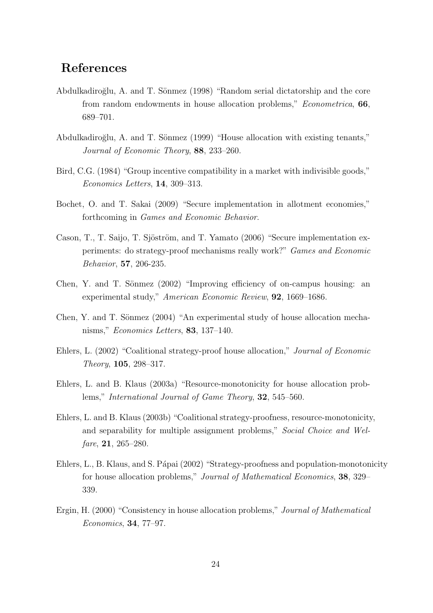# **References**

- Abdulkadiroğlu, A. and T. Sönmez (1998) "Random serial dictatorship and the core from random endowments in house allocation problems," *Econometrica*, **66**, 689–701.
- Abdulkadiroğlu, A. and T. Sönmez (1999) "House allocation with existing tenants," *Journal of Economic Theory*, **88**, 233–260.
- Bird, C.G. (1984) "Group incentive compatibility in a market with indivisible goods," *Economics Letters*, **14**, 309–313.
- Bochet, O. and T. Sakai (2009) "Secure implementation in allotment economies," forthcoming in *Games and Economic Behavior*.
- Cason, T., T. Saijo, T. Sjöström, and T. Yamato (2006) "Secure implementation experiments: do strategy-proof mechanisms really work?" *Games and Economic Behavior*, **57**, 206-235.
- Chen, Y. and T. Sönmez  $(2002)$  "Improving efficiency of on-campus housing: an experimental study," *American Economic Review*, **92**, 1669–1686.
- Chen, Y. and T. Sönmez (2004) "An experimental study of house allocation mechanisms," *Economics Letters*, **83**, 137–140.
- Ehlers, L. (2002) "Coalitional strategy-proof house allocation," *Journal of Economic Theory*, **105**, 298–317.
- Ehlers, L. and B. Klaus (2003a) "Resource-monotonicity for house allocation problems," *International Journal of Game Theory*, **32**, 545–560.
- Ehlers, L. and B. Klaus (2003b) "Coalitional strategy-proofness, resource-monotonicity, and separability for multiple assignment problems," *Social Choice and Welfare*, **21**, 265–280.
- Ehlers, L., B. Klaus, and S. Pápai (2002) "Strategy-proofness and population-monotonicity for house allocation problems," *Journal of Mathematical Economics*, **38**, 329– 339.
- Ergin, H. (2000) "Consistency in house allocation problems," *Journal of Mathematical Economics*, **34**, 77–97.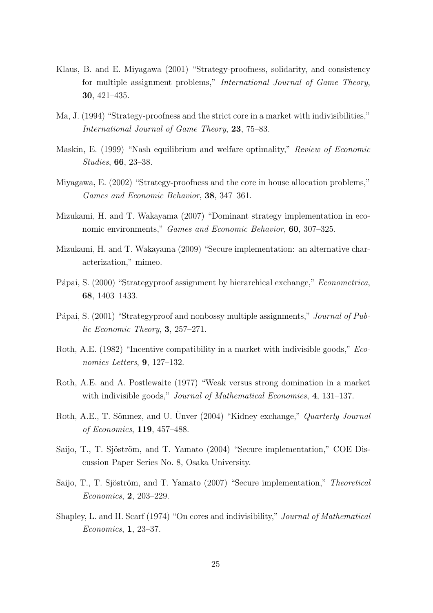- Klaus, B. and E. Miyagawa (2001) "Strategy-proofness, solidarity, and consistency for multiple assignment problems," *International Journal of Game Theory*, **30**, 421–435.
- Ma, J. (1994) "Strategy-proofness and the strict core in a market with indivisibilities," *International Journal of Game Theory*, **23**, 75–83.
- Maskin, E. (1999) "Nash equilibrium and welfare optimality," *Review of Economic Studies*, **66**, 23–38.
- Miyagawa, E. (2002) "Strategy-proofness and the core in house allocation problems," *Games and Economic Behavior*, **38**, 347–361.
- Mizukami, H. and T. Wakayama (2007) "Dominant strategy implementation in economic environments," *Games and Economic Behavior*, **60**, 307–325.
- Mizukami, H. and T. Wakayama (2009) "Secure implementation: an alternative characterization," mimeo.
- Pápai, S. (2000) "Strategyproof assignment by hierarchical exchange," *Econometrica*, **68**, 1403–1433.
- Pápai, S. (2001) "Strategyproof and nonbossy multiple assignments," *Journal of Public Economic Theory*, **3**, 257–271.
- Roth, A.E. (1982) "Incentive compatibility in a market with indivisible goods," *Economics Letters*, **9**, 127–132.
- Roth, A.E. and A. Postlewaite (1977) "Weak versus strong domination in a market with indivisible goods," *Journal of Mathematical Economies*, **4**, 131–137.
- Roth, A.E., T. Sönmez, and U. Ünver (2004) "Kidney exchange," *Quarterly Journal of Economics*, **119**, 457–488.
- Saijo, T., T. Sjöström, and T. Yamato (2004) "Secure implementation," COE Discussion Paper Series No. 8, Osaka University.
- Saijo, T., T. Sjöström, and T. Yamato (2007) "Secure implementation," *Theoretical Economics*, **2**, 203–229.
- Shapley, L. and H. Scarf (1974) "On cores and indivisibility," *Journal of Mathematical Economics*, **1**, 23–37.